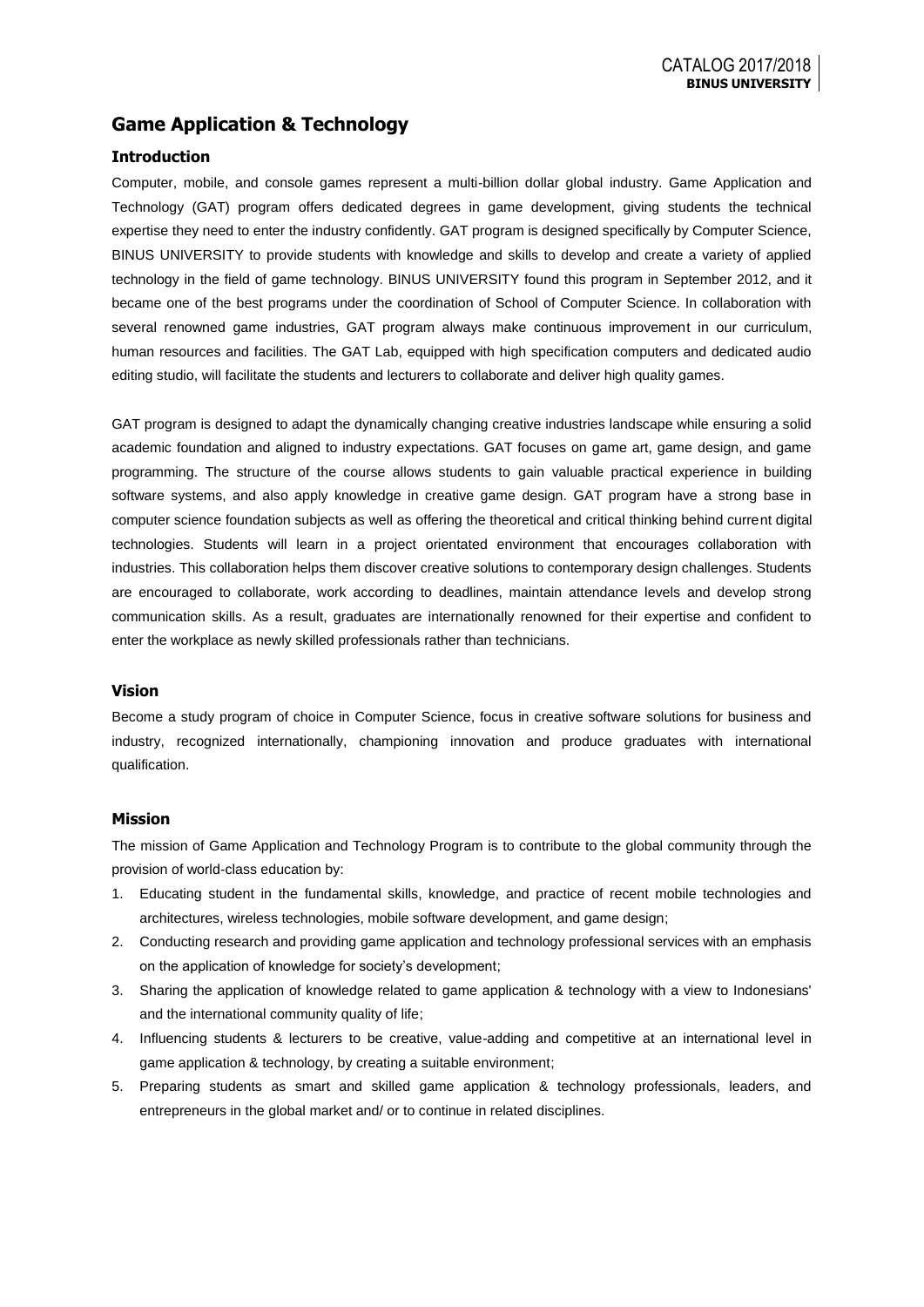# **Game Application & Technology**

### **Introduction**

Computer, mobile, and console games represent a multi-billion dollar global industry. Game Application and Technology (GAT) program offers dedicated degrees in game development, giving students the technical expertise they need to enter the industry confidently. GAT program is designed specifically by Computer Science, BINUS UNIVERSITY to provide students with knowledge and skills to develop and create a variety of applied technology in the field of game technology. BINUS UNIVERSITY found this program in September 2012, and it became one of the best programs under the coordination of School of Computer Science. In collaboration with several renowned game industries, GAT program always make continuous improvement in our curriculum, human resources and facilities. The GAT Lab, equipped with high specification computers and dedicated audio editing studio, will facilitate the students and lecturers to collaborate and deliver high quality games.

GAT program is designed to adapt the dynamically changing creative industries landscape while ensuring a solid academic foundation and aligned to industry expectations. GAT focuses on game art, game design, and game programming. The structure of the course allows students to gain valuable practical experience in building software systems, and also apply knowledge in creative game design. GAT program have a strong base in computer science foundation subjects as well as offering the theoretical and critical thinking behind current digital technologies. Students will learn in a project orientated environment that encourages collaboration with industries. This collaboration helps them discover creative solutions to contemporary design challenges. Students are encouraged to collaborate, work according to deadlines, maintain attendance levels and develop strong communication skills. As a result, graduates are internationally renowned for their expertise and confident to enter the workplace as newly skilled professionals rather than technicians.

### **Vision**

Become a study program of choice in Computer Science, focus in creative software solutions for business and industry, recognized internationally, championing innovation and produce graduates with international qualification.

#### **Mission**

The mission of Game Application and Technology Program is to contribute to the global community through the provision of world-class education by:

- 1. Educating student in the fundamental skills, knowledge, and practice of recent mobile technologies and architectures, wireless technologies, mobile software development, and game design;
- 2. Conducting research and providing game application and technology professional services with an emphasis on the application of knowledge for society's development;
- 3. Sharing the application of knowledge related to game application & technology with a view to Indonesians' and the international community quality of life;
- 4. Influencing students & lecturers to be creative, value-adding and competitive at an international level in game application & technology, by creating a suitable environment;
- 5. Preparing students as smart and skilled game application & technology professionals, leaders, and entrepreneurs in the global market and/ or to continue in related disciplines.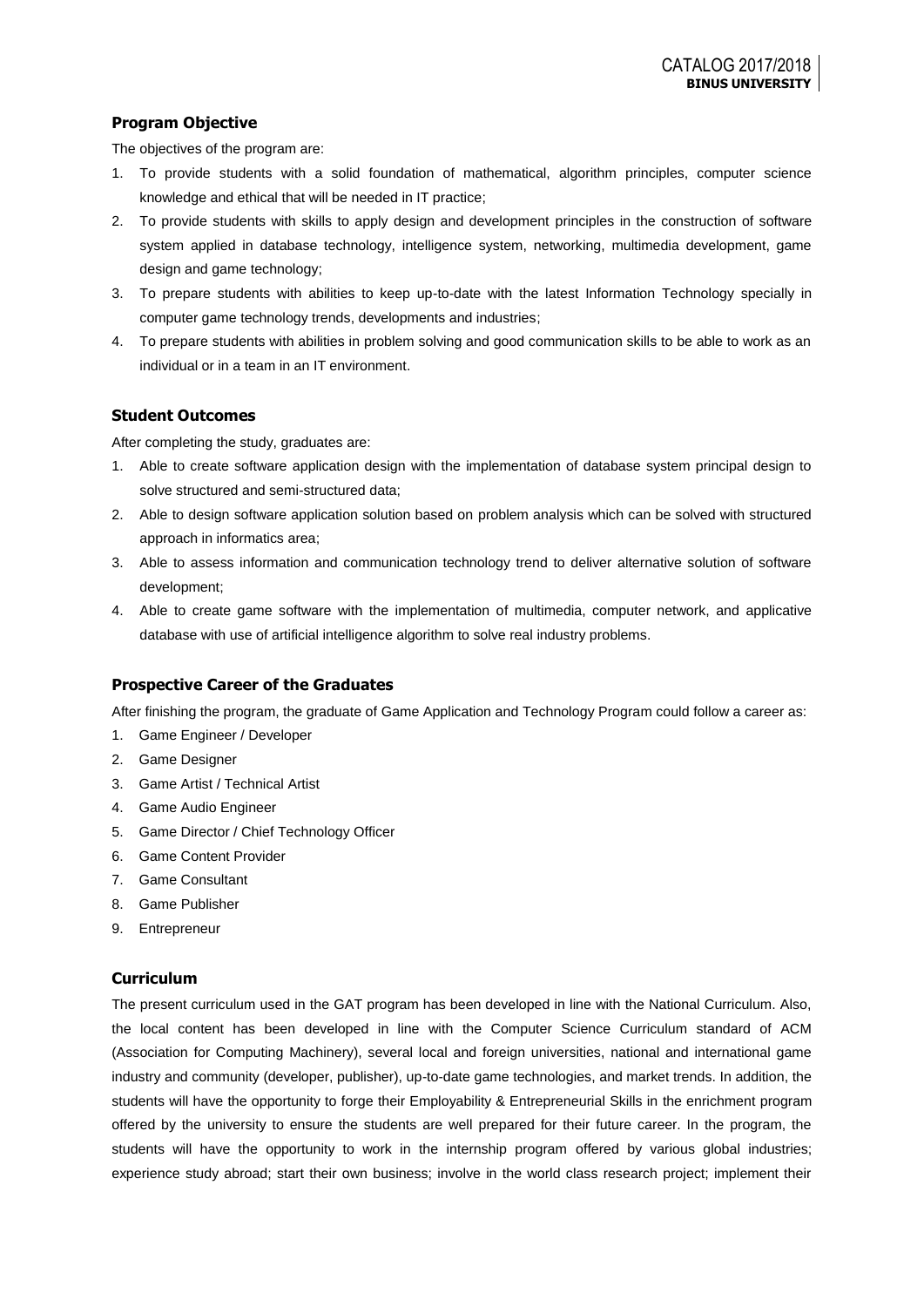## **Program Objective**

The objectives of the program are:

- 1. To provide students with a solid foundation of mathematical, algorithm principles, computer science knowledge and ethical that will be needed in IT practice;
- 2. To provide students with skills to apply design and development principles in the construction of software system applied in database technology, intelligence system, networking, multimedia development, game design and game technology;
- 3. To prepare students with abilities to keep up-to-date with the latest Information Technology specially in computer game technology trends, developments and industries;
- 4. To prepare students with abilities in problem solving and good communication skills to be able to work as an individual or in a team in an IT environment.

### **Student Outcomes**

After completing the study, graduates are:

- 1. Able to create software application design with the implementation of database system principal design to solve structured and semi-structured data;
- 2. Able to design software application solution based on problem analysis which can be solved with structured approach in informatics area;
- 3. Able to assess information and communication technology trend to deliver alternative solution of software development;
- 4. Able to create game software with the implementation of multimedia, computer network, and applicative database with use of artificial intelligence algorithm to solve real industry problems.

### **Prospective Career of the Graduates**

After finishing the program, the graduate of Game Application and Technology Program could follow a career as:

- 1. Game Engineer / Developer
- 2. Game Designer
- 3. Game Artist / Technical Artist
- 4. Game Audio Engineer
- 5. Game Director / Chief Technology Officer
- 6. Game Content Provider
- 7. Game Consultant
- 8. Game Publisher
- 9. Entrepreneur

### **Curriculum**

The present curriculum used in the GAT program has been developed in line with the National Curriculum. Also, the local content has been developed in line with the Computer Science Curriculum standard of ACM (Association for Computing Machinery), several local and foreign universities, national and international game industry and community (developer, publisher), up-to-date game technologies, and market trends. In addition, the students will have the opportunity to forge their Employability & Entrepreneurial Skills in the enrichment program offered by the university to ensure the students are well prepared for their future career. In the program, the students will have the opportunity to work in the internship program offered by various global industries; experience study abroad; start their own business; involve in the world class research project; implement their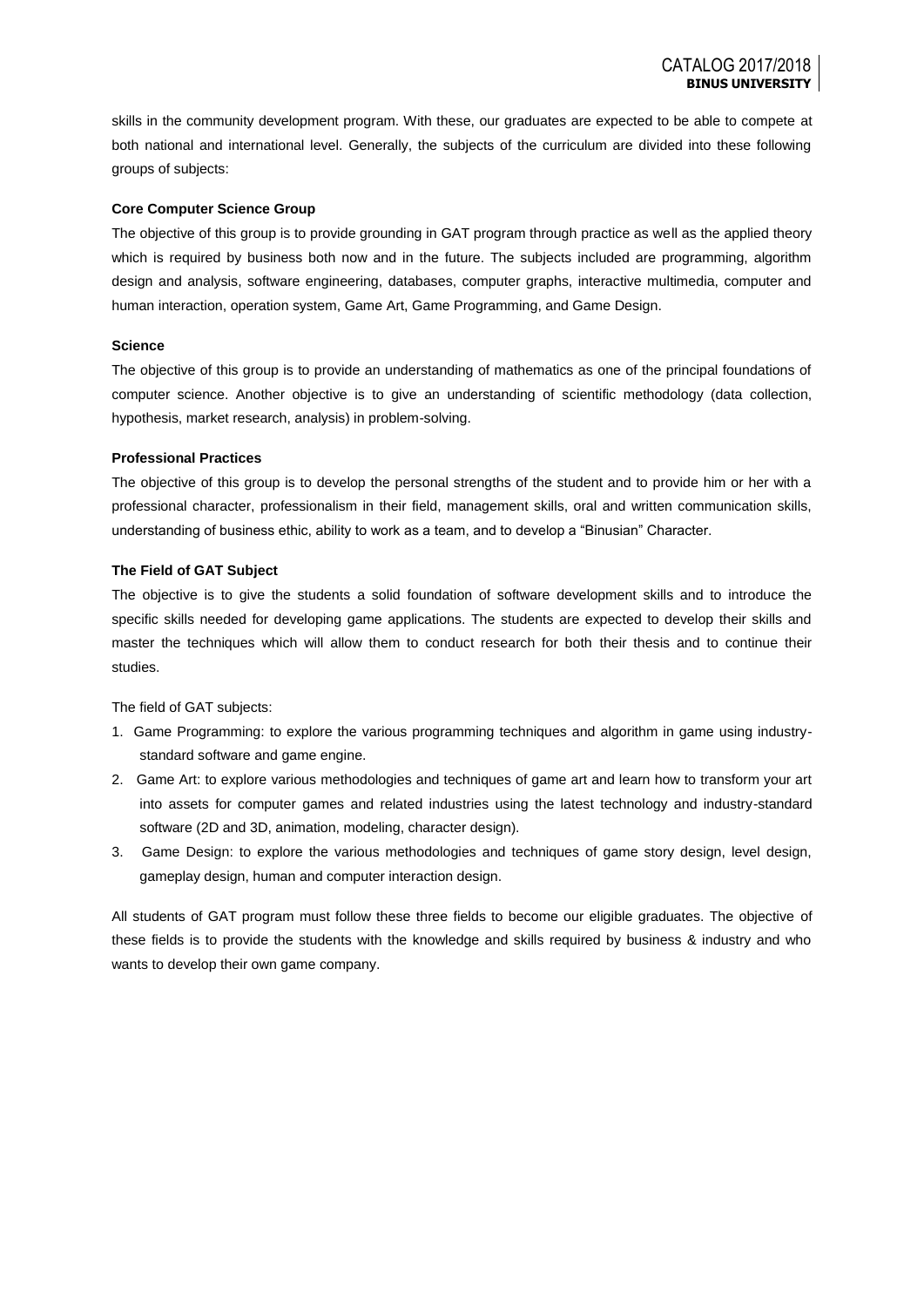skills in the community development program. With these, our graduates are expected to be able to compete at both national and international level. Generally, the subjects of the curriculum are divided into these following groups of subjects:

#### **Core Computer Science Group**

The objective of this group is to provide grounding in GAT program through practice as well as the applied theory which is required by business both now and in the future. The subjects included are programming, algorithm design and analysis, software engineering, databases, computer graphs, interactive multimedia, computer and human interaction, operation system, Game Art, Game Programming, and Game Design.

#### **Science**

The objective of this group is to provide an understanding of mathematics as one of the principal foundations of computer science. Another objective is to give an understanding of scientific methodology (data collection, hypothesis, market research, analysis) in problem-solving.

#### **Professional Practices**

The objective of this group is to develop the personal strengths of the student and to provide him or her with a professional character, professionalism in their field, management skills, oral and written communication skills, understanding of business ethic, ability to work as a team, and to develop a "Binusian" Character.

#### **The Field of GAT Subject**

The objective is to give the students a solid foundation of software development skills and to introduce the specific skills needed for developing game applications. The students are expected to develop their skills and master the techniques which will allow them to conduct research for both their thesis and to continue their studies.

#### The field of GAT subjects:

- 1. Game Programming: to explore the various programming techniques and algorithm in game using industrystandard software and game engine.
- 2. Game Art: to explore various methodologies and techniques of game art and learn how to transform your art into assets for computer games and related industries using the latest technology and industry-standard software (2D and 3D, animation, modeling, character design).
- 3. Game Design: to explore the various methodologies and techniques of game story design, level design, gameplay design, human and computer interaction design.

All students of GAT program must follow these three fields to become our eligible graduates. The objective of these fields is to provide the students with the knowledge and skills required by business & industry and who wants to develop their own game company.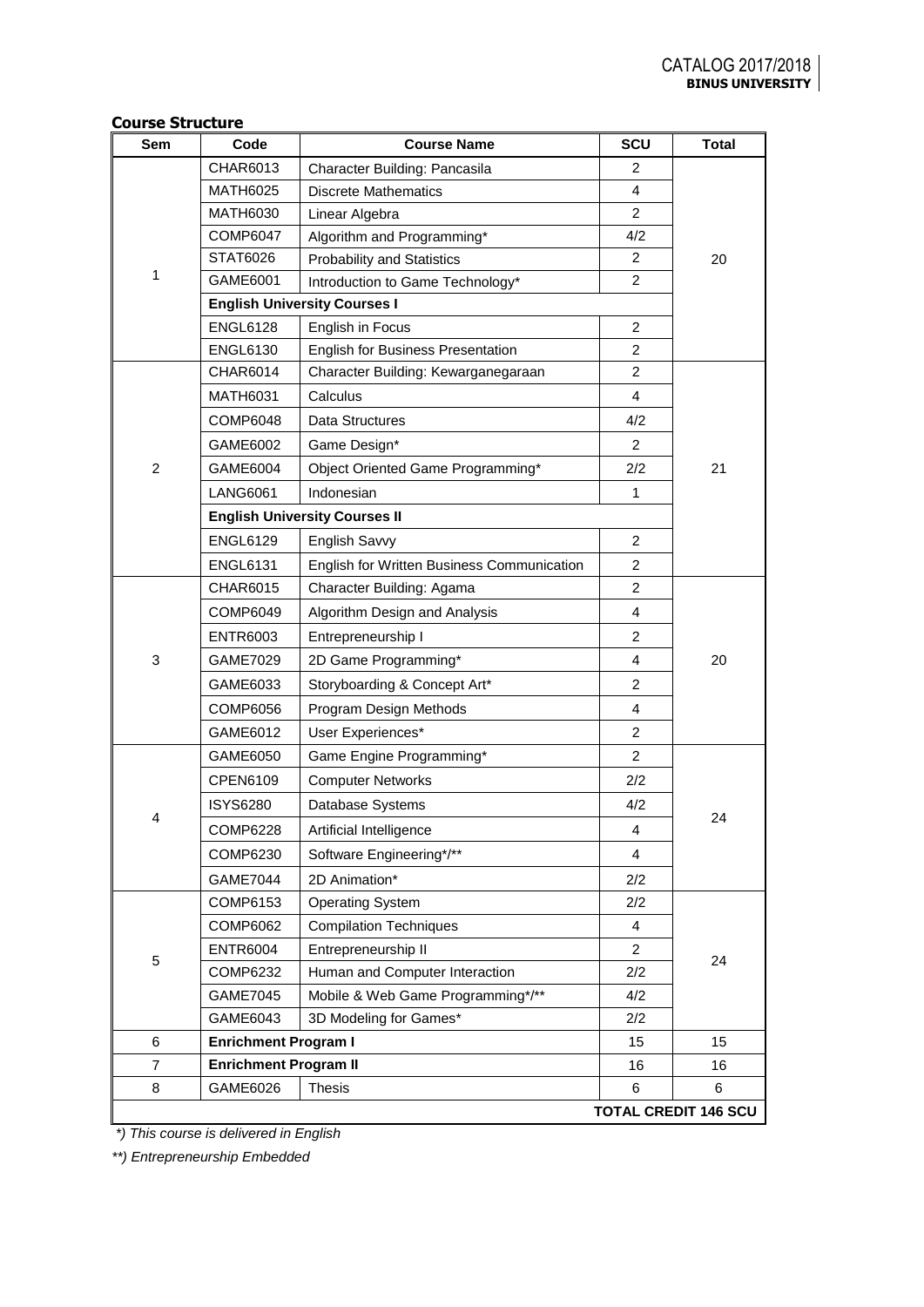| COUI SE SU UCLUI E<br>Sem | Code                         | <b>Course Name</b>                         | SCU            | <b>Total</b>                |
|---------------------------|------------------------------|--------------------------------------------|----------------|-----------------------------|
|                           | CHAR6013                     | Character Building: Pancasila              | 2              |                             |
|                           | <b>MATH6025</b>              | <b>Discrete Mathematics</b>                | 4              |                             |
|                           | <b>MATH6030</b>              | Linear Algebra                             | $\overline{2}$ |                             |
|                           | <b>COMP6047</b>              | Algorithm and Programming*                 | 4/2            |                             |
|                           | STAT6026                     | <b>Probability and Statistics</b>          | $\overline{2}$ | 20                          |
| 1                         | GAME6001                     | Introduction to Game Technology*           | $\overline{2}$ |                             |
|                           |                              | <b>English University Courses I</b>        |                |                             |
|                           | <b>ENGL6128</b>              | English in Focus                           | $\overline{2}$ |                             |
|                           | <b>ENGL6130</b>              | English for Business Presentation          | $\overline{2}$ |                             |
|                           | <b>CHAR6014</b>              | Character Building: Kewarganegaraan        | $\overline{2}$ |                             |
|                           | <b>MATH6031</b>              | Calculus                                   | 4              |                             |
|                           | COMP6048                     | Data Structures                            | 4/2            |                             |
|                           | GAME6002                     | Game Design*                               | $\overline{2}$ |                             |
| $\overline{2}$            | GAME6004                     | Object Oriented Game Programming*          | 2/2            | 21                          |
|                           | <b>LANG6061</b>              | Indonesian                                 | $\mathbf{1}$   |                             |
|                           |                              | <b>English University Courses II</b>       |                |                             |
|                           | <b>ENGL6129</b>              | English Savvy                              | $\overline{2}$ |                             |
|                           | <b>ENGL6131</b>              | English for Written Business Communication | $\overline{2}$ |                             |
|                           | CHAR6015                     | Character Building: Agama                  | $\overline{2}$ |                             |
|                           | COMP6049                     | Algorithm Design and Analysis              | 4              |                             |
|                           | <b>ENTR6003</b>              | Entrepreneurship I                         | $\overline{2}$ |                             |
| 3                         | GAME7029                     | 2D Game Programming*                       | 4              | 20                          |
|                           | GAME6033                     | Storyboarding & Concept Art*               | $\overline{c}$ |                             |
|                           | COMP6056                     | Program Design Methods                     | 4              |                             |
|                           | GAME6012                     | User Experiences*                          | $\overline{2}$ |                             |
|                           | GAME6050                     | Game Engine Programming*                   | $\overline{2}$ |                             |
|                           | CPEN6109                     | <b>Computer Networks</b>                   | 2/2            |                             |
|                           | <b>ISYS6280</b>              | Database Systems                           | 4/2            |                             |
| 4                         | <b>COMP6228</b>              | Artificial Intelligence                    | 4              | 24                          |
|                           | COMP6230                     | Software Engineering*/**                   | 4              |                             |
|                           | GAME7044                     | 2D Animation*                              | 2/2            |                             |
|                           | COMP6153                     | <b>Operating System</b>                    | 2/2            |                             |
|                           | <b>COMP6062</b>              | <b>Compilation Techniques</b>              | 4              |                             |
|                           | <b>ENTR6004</b>              | Entrepreneurship II                        | 2              |                             |
| 5                         | COMP6232                     | Human and Computer Interaction             | 2/2            | 24                          |
|                           | <b>GAME7045</b>              | Mobile & Web Game Programming*/**          | 4/2            |                             |
|                           | GAME6043                     | 3D Modeling for Games*                     | 2/2            |                             |
| 6                         | <b>Enrichment Program I</b>  |                                            | 15             | 15                          |
| $\overline{7}$            | <b>Enrichment Program II</b> |                                            | 16             | 16                          |
| 8                         | GAME6026                     | <b>Thesis</b>                              | 6              | 6                           |
|                           |                              |                                            |                | <b>TOTAL CREDIT 146 SCU</b> |

# **Course Structure**

*\*) This course is delivered in English*

*\*\*) Entrepreneurship Embedded*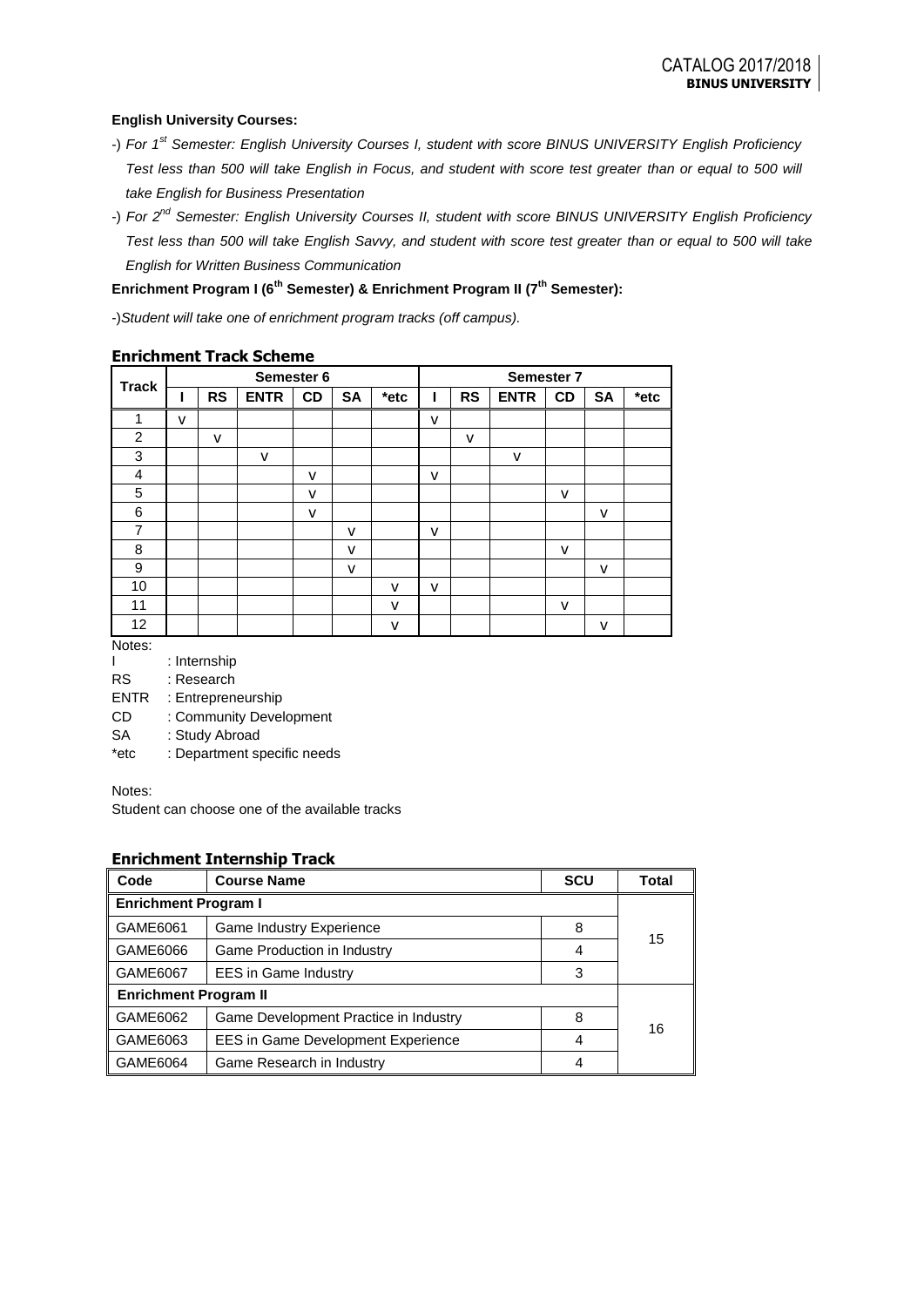### **English University Courses:**

- -) *For 1st Semester: English University Courses I, student with score BINUS UNIVERSITY English Proficiency Test less than 500 will take English in Focus, and student with score test greater than or equal to 500 will take English for Business Presentation*
- -) *For 2nd Semester: English University Courses II, student with score BINUS UNIVERSITY English Proficiency Test less than 500 will take English Savvy, and student with score test greater than or equal to 500 will take English for Written Business Communication*

## **Enrichment Program I (6th Semester) & Enrichment Program II (7th Semester):**

-)*Student will take one of enrichment program tracks (off campus).*

|                |   |           |             | Semester 6   |           |      |   |           |              | Semester 7   |           |      |
|----------------|---|-----------|-------------|--------------|-----------|------|---|-----------|--------------|--------------|-----------|------|
| <b>Track</b>   |   | <b>RS</b> | <b>ENTR</b> | CD           | <b>SA</b> | *etc |   | <b>RS</b> | <b>ENTR</b>  | <b>CD</b>    | <b>SA</b> | *etc |
| 1              | v |           |             |              |           |      | v |           |              |              |           |      |
| 2              |   | v         |             |              |           |      |   | v         |              |              |           |      |
| 3              |   |           | v           |              |           |      |   |           | $\mathsf{v}$ |              |           |      |
| 4              |   |           |             | v            |           |      | v |           |              |              |           |      |
| 5              |   |           |             | $\mathsf{V}$ |           |      |   |           |              | v            |           |      |
| 6              |   |           |             | v            |           |      |   |           |              |              | v         |      |
| $\overline{7}$ |   |           |             |              | v         |      | v |           |              |              |           |      |
| 8              |   |           |             |              | v         |      |   |           |              | v            |           |      |
| 9              |   |           |             |              | v         |      |   |           |              |              | v         |      |
| 10             |   |           |             |              |           | v    | v |           |              |              |           |      |
| 11             |   |           |             |              |           | v    |   |           |              | $\mathsf{v}$ |           |      |
| 12             |   |           |             |              |           | ۷    |   |           |              |              | v         |      |

## **Enrichment Track Scheme**

Notes:

I : Internship

RS : Research

ENTR : Entrepreneurship

CD : Community Development

SA : Study Abroad

\*etc : Department specific needs

Notes:

Student can choose one of the available tracks

## **Enrichment Internship Track**

| Code                                    | <b>Course Name</b>                        | <b>SCU</b> | Total |  |
|-----------------------------------------|-------------------------------------------|------------|-------|--|
| <b>Enrichment Program I</b>             |                                           |            |       |  |
| GAME6061                                | Game Industry Experience                  | 8          | 15    |  |
| GAME6066                                | Game Production in Industry               | 4          |       |  |
| GAME6067<br><b>EES</b> in Game Industry |                                           | 3          |       |  |
| <b>Enrichment Program II</b>            |                                           |            |       |  |
| GAME6062                                | Game Development Practice in Industry     | 8          | 16    |  |
| GAME6063                                | <b>EES in Game Development Experience</b> | 4          |       |  |
| GAME6064                                | Game Research in Industry                 |            |       |  |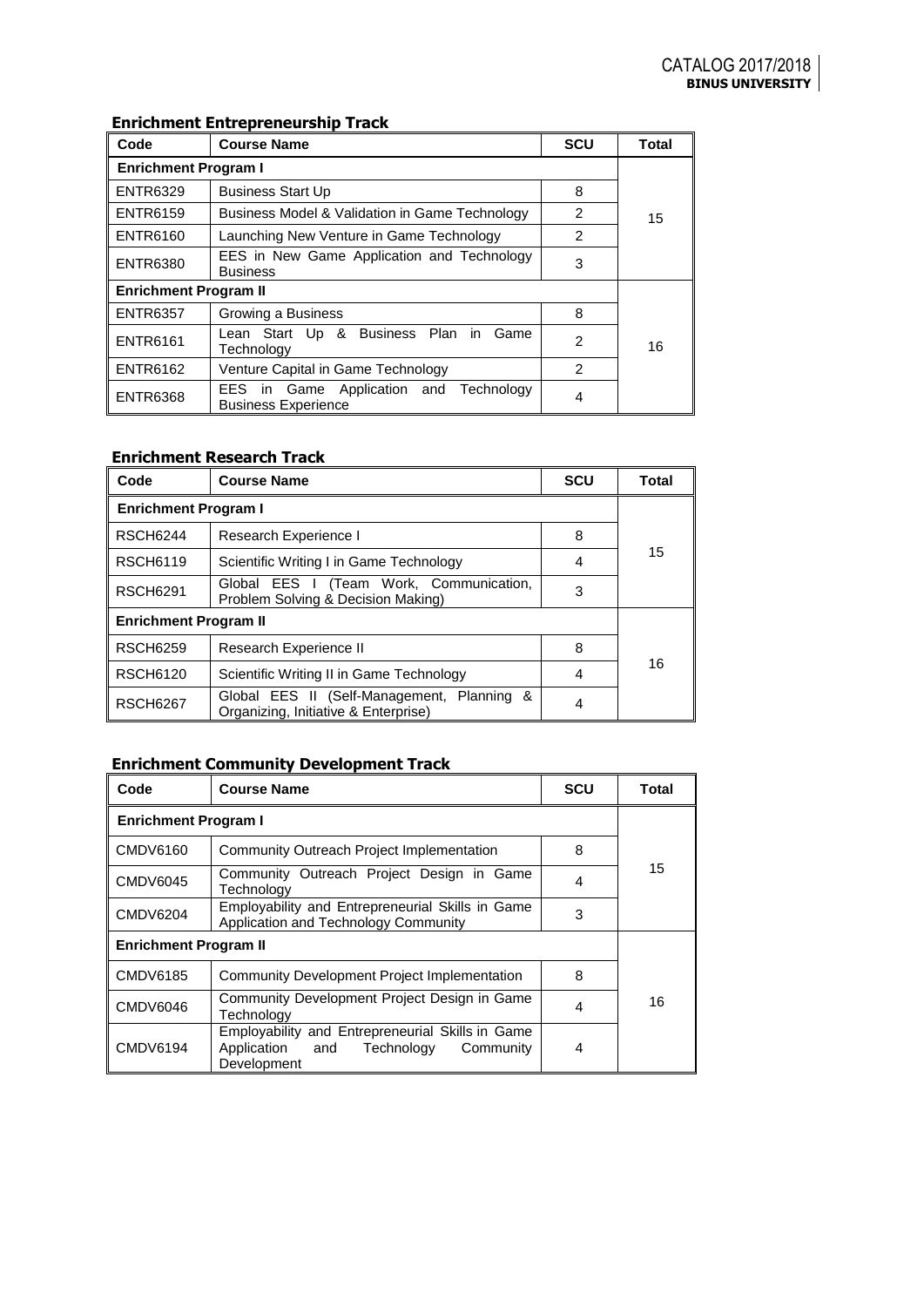# **Enrichment Entrepreneurship Track**

| Code                                                                             | <b>Course Name</b>                                                          | <b>SCU</b>     | <b>Total</b> |  |  |  |
|----------------------------------------------------------------------------------|-----------------------------------------------------------------------------|----------------|--------------|--|--|--|
| <b>Enrichment Program I</b>                                                      |                                                                             |                |              |  |  |  |
| <b>ENTR6329</b>                                                                  | <b>Business Start Up</b>                                                    | 8              |              |  |  |  |
| <b>ENTR6159</b>                                                                  | Business Model & Validation in Game Technology                              | 2              | 15           |  |  |  |
| <b>ENTR6160</b>                                                                  | Launching New Venture in Game Technology                                    | 2              |              |  |  |  |
| EES in New Game Application and Technology<br><b>ENTR6380</b><br><b>Business</b> |                                                                             | 3              |              |  |  |  |
| <b>Enrichment Program II</b>                                                     |                                                                             |                |              |  |  |  |
| <b>ENTR6357</b>                                                                  | Growing a Business                                                          | 8              |              |  |  |  |
| Lean Start Up & Business Plan in<br>Game<br><b>ENTR6161</b><br>Technology        |                                                                             | $\overline{2}$ | 16           |  |  |  |
| <b>ENTR6162</b><br>Venture Capital in Game Technology                            |                                                                             | $\overline{2}$ |              |  |  |  |
| <b>ENTR6368</b>                                                                  | Game Application and Technology<br>EES.<br>in<br><b>Business Experience</b> | 4              |              |  |  |  |

# **Enrichment Research Track**

| Code                         | <b>Course Name</b>                                                                 | <b>SCU</b> | Total |  |  |
|------------------------------|------------------------------------------------------------------------------------|------------|-------|--|--|
| <b>Enrichment Program I</b>  |                                                                                    |            |       |  |  |
| <b>RSCH6244</b>              | Research Experience I                                                              |            |       |  |  |
| <b>RSCH6119</b>              | Scientific Writing I in Game Technology                                            | 4          | 15    |  |  |
| <b>RSCH6291</b>              | Global EES I (Team Work, Communication,<br>Problem Solving & Decision Making)      | 3          |       |  |  |
| <b>Enrichment Program II</b> |                                                                                    |            |       |  |  |
| <b>RSCH6259</b>              | Research Experience II                                                             | 8          |       |  |  |
| <b>RSCH6120</b>              | Scientific Writing II in Game Technology                                           | 4          | 16    |  |  |
| <b>RSCH6267</b>              | Global EES II (Self-Management, Planning &<br>Organizing, Initiative & Enterprise) | 4          |       |  |  |

# **Enrichment Community Development Track**

| Code                                                                                                        | <b>Course Name</b>                                                                                            | <b>SCU</b> | Total |  |  |
|-------------------------------------------------------------------------------------------------------------|---------------------------------------------------------------------------------------------------------------|------------|-------|--|--|
| <b>Enrichment Program I</b>                                                                                 |                                                                                                               |            |       |  |  |
| <b>CMDV6160</b>                                                                                             | Community Outreach Project Implementation                                                                     | 8          |       |  |  |
| <b>CMDV6045</b>                                                                                             | Community Outreach Project Design in Game<br>Technoloav                                                       | 4          | 15    |  |  |
| Employability and Entrepreneurial Skills in Game<br><b>CMDV6204</b><br>Application and Technology Community |                                                                                                               | 3          |       |  |  |
| <b>Enrichment Program II</b>                                                                                |                                                                                                               |            |       |  |  |
| <b>CMDV6185</b>                                                                                             | Community Development Project Implementation                                                                  | 8          |       |  |  |
| Community Development Project Design in Game<br><b>CMDV6046</b><br>Technology                               |                                                                                                               | 4          | 16    |  |  |
| <b>CMDV6194</b>                                                                                             | Employability and Entrepreneurial Skills in Game<br>Application and<br>Technology<br>Community<br>Development | 4          |       |  |  |